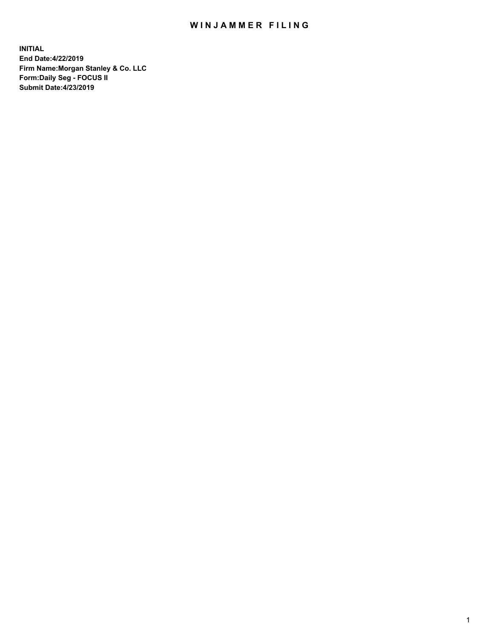## WIN JAMMER FILING

**INITIAL End Date:4/22/2019 Firm Name:Morgan Stanley & Co. LLC Form:Daily Seg - FOCUS II Submit Date:4/23/2019**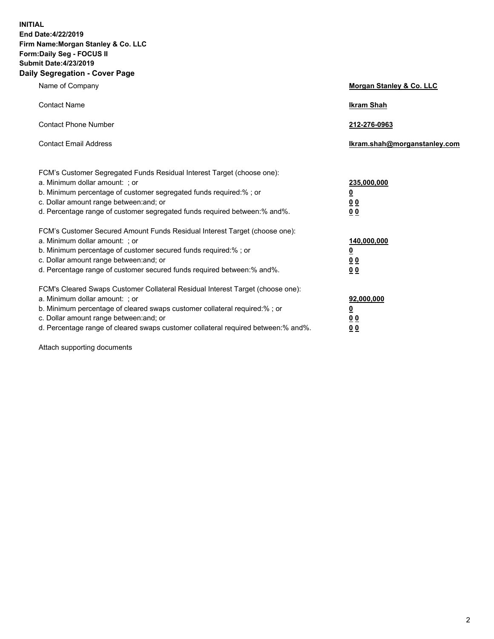**INITIAL End Date:4/22/2019 Firm Name:Morgan Stanley & Co. LLC Form:Daily Seg - FOCUS II Submit Date:4/23/2019 Daily Segregation - Cover Page**

| Name of Company                                                                   | Morgan Stanley & Co. LLC     |
|-----------------------------------------------------------------------------------|------------------------------|
| <b>Contact Name</b>                                                               | <b>Ikram Shah</b>            |
| <b>Contact Phone Number</b>                                                       | 212-276-0963                 |
| <b>Contact Email Address</b>                                                      | Ikram.shah@morganstanley.com |
| FCM's Customer Segregated Funds Residual Interest Target (choose one):            |                              |
| a. Minimum dollar amount: ; or                                                    | 235,000,000                  |
| b. Minimum percentage of customer segregated funds required:% ; or                | <u>0</u>                     |
| c. Dollar amount range between: and; or                                           | <u>0 0</u>                   |
| d. Percentage range of customer segregated funds required between: % and %.       | 0 Q                          |
| FCM's Customer Secured Amount Funds Residual Interest Target (choose one):        |                              |
| a. Minimum dollar amount: ; or                                                    | 140,000,000                  |
| b. Minimum percentage of customer secured funds required:%; or                    | <u>0</u>                     |
| c. Dollar amount range between: and; or                                           | 0 <sub>0</sub>               |
| d. Percentage range of customer secured funds required between:% and%.            | 0 <sub>0</sub>               |
| FCM's Cleared Swaps Customer Collateral Residual Interest Target (choose one):    |                              |
| a. Minimum dollar amount: ; or                                                    | 92,000,000                   |
| b. Minimum percentage of cleared swaps customer collateral required:% ; or        | <u>0</u>                     |
| c. Dollar amount range between: and; or                                           | 0 Q                          |
| d. Percentage range of cleared swaps customer collateral required between:% and%. | 00                           |

Attach supporting documents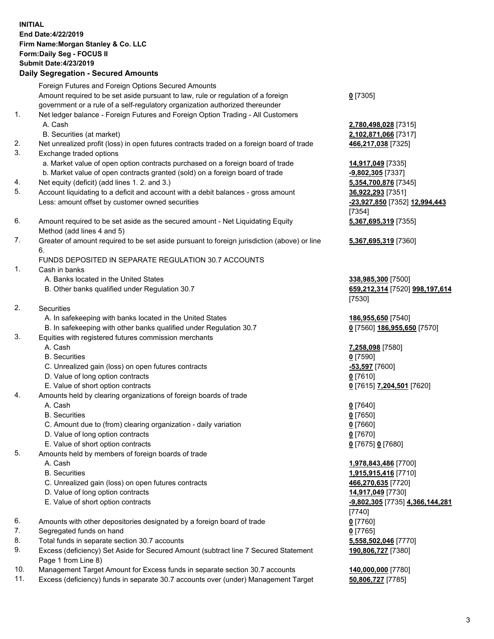## **INITIAL End Date:4/22/2019 Firm Name:Morgan Stanley & Co. LLC Form:Daily Seg - FOCUS II Submit Date:4/23/2019 Daily Segregation - Secured Amounts** Foreign Futures and Foreign Options Secured Amounts Amount required to be set aside pursuant to law, rule or regulation of a foreign government or a rule of a self-regulatory organization authorized thereunder 1. Net ledger balance - Foreign Futures and Foreign Option Trading - All Customers A. Cash **2,780,498,028** [7315] B. Securities (at market) **2,102,871,066** [7317] 2. Net unrealized profit (loss) in open futures contracts traded on a foreign board of trade **466,217,038** [7325] 3. Exchange traded options a. Market value of open option contracts purchased on a foreign board of trade **14,917,049** [7335] b. Market value of open contracts granted (sold) on a foreign board of trade **-9,802,305** [7337] 4. Net equity (deficit) (add lines 1. 2. and 3.) **5,354,700,876** [7345] 5. Account liquidating to a deficit and account with a debit balances - gross amount **36,922,293** [7351] Less: amount offset by customer owned securities **-23,927,850** [7352] **12,994,443** 6. Amount required to be set aside as the secured amount - Net Liquidating Equity Method (add lines 4 and 5) 7. Greater of amount required to be set aside pursuant to foreign jurisdiction (above) or line 6. FUNDS DEPOSITED IN SEPARATE REGULATION 30.7 ACCOUNTS 1. Cash in banks A. Banks located in the United States **338,985,300** [7500] B. Other banks qualified under Regulation 30.7 **659,212,314** [7520] **998,197,614** 2. Securities A. In safekeeping with banks located in the United States **186,955,650** [7540]

- B. In safekeeping with other banks qualified under Regulation 30.7 **0** [7560] **186,955,650** [7570]
- 3. Equities with registered futures commission merchants
	-
	- B. Securities **0** [7590]
	- C. Unrealized gain (loss) on open futures contracts **-53,597** [7600]
	- D. Value of long option contracts **0** [7610]
- E. Value of short option contracts **0** [7615] **7,204,501** [7620]
- 4. Amounts held by clearing organizations of foreign boards of trade
	- A. Cash **0** [7640]
	- B. Securities **0** [7650]
	- C. Amount due to (from) clearing organization daily variation **0** [7660]
	- D. Value of long option contracts **0** [7670]
	- E. Value of short option contracts **0** [7675] **0** [7680]
- 5. Amounts held by members of foreign boards of trade
	-
	-
	- C. Unrealized gain (loss) on open futures contracts **466,270,635** [7720]
	- D. Value of long option contracts **14,917,049** [7730]
	- E. Value of short option contracts **-9,802,305** [7735] **4,366,144,281**
- 6. Amounts with other depositories designated by a foreign board of trade **0** [7760]
- 7. Segregated funds on hand **0** [7765]
- 8. Total funds in separate section 30.7 accounts **5,558,502,046** [7770]
- 9. Excess (deficiency) Set Aside for Secured Amount (subtract line 7 Secured Statement Page 1 from Line 8)
- 10. Management Target Amount for Excess funds in separate section 30.7 accounts **140,000,000** [7780]
- 11. Excess (deficiency) funds in separate 30.7 accounts over (under) Management Target **50,806,727** [7785]

**0** [7305]

[7354] **5,367,695,319** [7355]

**5,367,695,319** [7360]

[7530]

A. Cash **7,258,098** [7580]

 A. Cash **1,978,843,486** [7700] B. Securities **1,915,915,416** [7710] [7740] **190,806,727** [7380]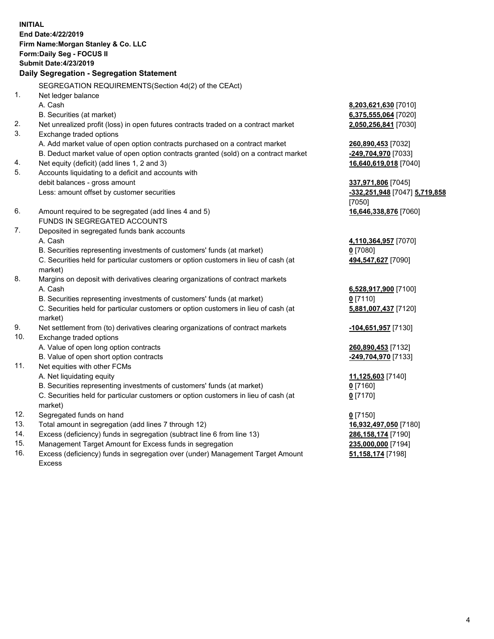**INITIAL End Date:4/22/2019 Firm Name:Morgan Stanley & Co. LLC Form:Daily Seg - FOCUS II Submit Date:4/23/2019 Daily Segregation - Segregation Statement** SEGREGATION REQUIREMENTS(Section 4d(2) of the CEAct) 1. Net ledger balance A. Cash **8,203,621,630** [7010] B. Securities (at market) **6,375,555,064** [7020] 2. Net unrealized profit (loss) in open futures contracts traded on a contract market **2,050,256,841** [7030] 3. Exchange traded options A. Add market value of open option contracts purchased on a contract market **260,890,453** [7032] B. Deduct market value of open option contracts granted (sold) on a contract market **-249,704,970** [7033] 4. Net equity (deficit) (add lines 1, 2 and 3) **16,640,619,018** [7040] 5. Accounts liquidating to a deficit and accounts with debit balances - gross amount **337,971,806** [7045] Less: amount offset by customer securities **-332,251,948** [7047] **5,719,858** [7050] 6. Amount required to be segregated (add lines 4 and 5) **16,646,338,876** [7060] FUNDS IN SEGREGATED ACCOUNTS 7. Deposited in segregated funds bank accounts A. Cash **4,110,364,957** [7070] B. Securities representing investments of customers' funds (at market) **0** [7080] C. Securities held for particular customers or option customers in lieu of cash (at market) **494,547,627** [7090] 8. Margins on deposit with derivatives clearing organizations of contract markets A. Cash **6,528,917,900** [7100] B. Securities representing investments of customers' funds (at market) **0** [7110] C. Securities held for particular customers or option customers in lieu of cash (at market) **5,881,007,437** [7120] 9. Net settlement from (to) derivatives clearing organizations of contract markets **-104,651,957** [7130] 10. Exchange traded options A. Value of open long option contracts **260,890,453** [7132] B. Value of open short option contracts **-249,704,970** [7133] 11. Net equities with other FCMs A. Net liquidating equity **11,125,603** [7140] B. Securities representing investments of customers' funds (at market) **0** [7160] C. Securities held for particular customers or option customers in lieu of cash (at market) **0** [7170] 12. Segregated funds on hand **0** [7150] 13. Total amount in segregation (add lines 7 through 12) **16,932,497,050** [7180] 14. Excess (deficiency) funds in segregation (subtract line 6 from line 13) **286,158,174** [7190] 15. Management Target Amount for Excess funds in segregation **235,000,000** [7194]

16. Excess (deficiency) funds in segregation over (under) Management Target Amount Excess

**51,158,174** [7198]